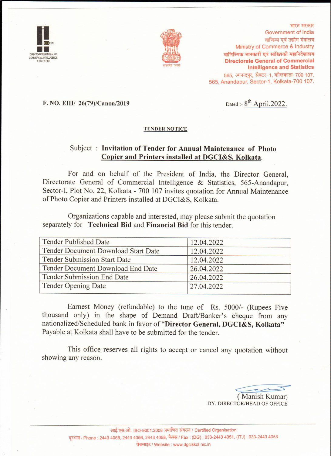



भारत सरकार Government of India वाणिज्य एवं उद्योग मंत्रालय Ministry of Commerce & Industry वाणिज्यिक जानकारी एवं सांख्यिकी महानिदेशालय **Directorate General of Commercial Intelligence and Statistics** 565. आनन्दपर. सेक्टर-1. कोलकाता-700 107. 565, Anandapur, Sector-1, Kolkata-700 107.

#### F. NO. EIII/ 26(79)/Canon/2019

Dated:  $8^{th}$  April, 2022.

#### **TENDER NOTICE**

#### Subject: Invitation of Tender for Annual Maintenance of Photo Copier and Printers installed at DGCI&S, Kolkata.

For and on behalf of the President of India, the Director General, Directorate General of Commercial Intelligence & Statistics, 565-Anandapur, Sector-I, Plot No. 22, Kolkata - 700 107 invites quotation for Annual Maintenance of Photo Copier and Printers installed at DGCI&S, Kolkata.

Organizations capable and interested, may please submit the quotation separately for Technical Bid and Financial Bid for this tender.

| <b>Tender Published Date</b>        | 12.04.2022 |
|-------------------------------------|------------|
| Tender Document Download Start Date | 12.04.2022 |
| <b>Tender Submission Start Date</b> | 12.04.2022 |
| Tender Document Download End Date   | 26.04.2022 |
| Tender Submission End Date          | 26.04.2022 |
| <b>Tender Opening Date</b>          | 27.04.2022 |

Earnest Money (refundable) to the tune of Rs. 5000/- (Rupees Five thousand only) in the shape of Demand Draft/Banker's cheque from any nationalized/Scheduled bank in favor of "Director General, DGCI&S, Kolkata" Payable at Kolkata shall have to be submitted for the tender.

This office reserves all rights to accept or cancel any quotation without showing any reason.

(Manish Kumar) DY. DIRECTOR/HEAD OF OFFICE

आई.एस.ओ. ISO-9001:2008 प्रमाणित संगठन / Certified Organisation दूरभाष / Phone: 2443 4055, 2443 4056, 2443 4058, फैक्स / Fax: (DG): 033-2443 4051, (ITJ): 033-2443 4053 वेबसाइट / Website : www.dgciskol.nic.in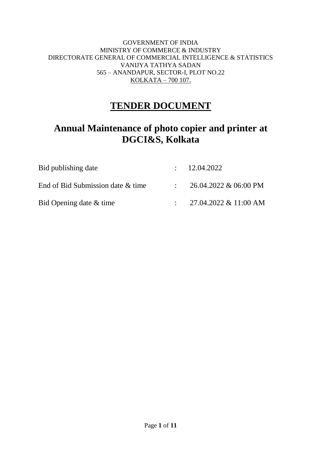#### GOVERNMENT OF INDIA MINISTRY OF COMMERCE & INDUSTRY DIRECTORATE GENERAL OF COMMERCIAL INTELLIGENCE & STATISTICS VANIJYA TATHYA SADAN 565 – ANANDAPUR, SECTOR-I, PLOT NO.22 KOLKATA – 700 107.

## **TENDER DOCUMENT**

# **Annual Maintenance of photo copier and printer at DGCI&S, Kolkata**

| Bid publishing date               | : 12.04.2022          |
|-----------------------------------|-----------------------|
| End of Bid Submission date & time | 26.04.2022 & 06:00 PM |
| Bid Opening date & time           | 27.04.2022 & 11:00 AM |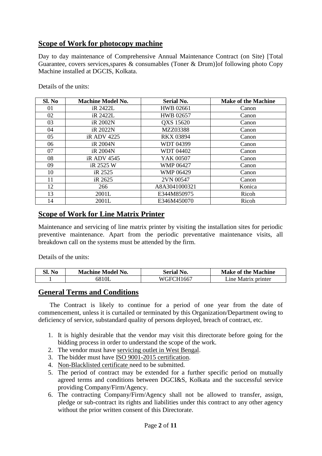### **Scope of Work for photocopy machine**

Day to day maintenance of Comprehensive Annual Maintenance Contract (on Site) [Total Guarantee, covers services,spares & consumables (Toner & Drum)]of following photo Copy Machine installed at DGCIS, Kolkata.

Details of the units:

| Sl. No | <b>Machine Model No.</b> | <b>Serial No.</b> | <b>Make of the Machine</b> |
|--------|--------------------------|-------------------|----------------------------|
| 01     | iR 2422L                 | <b>HWB</b> 02661  | Canon                      |
| 02     | iR 2422L                 | <b>HWB 02657</b>  | Canon                      |
| 03     | iR 2002N                 | QXS 15620         | Canon                      |
| 04     | iR 2022N                 | MZZ03388          | Canon                      |
| 05     | <i>iRADV4225</i>         | <b>RKX 03894</b>  | Canon                      |
| 06     | iR 2004N                 | WDT 04399         | Canon                      |
| 07     | iR 2004N                 | <b>WDT 04402</b>  | Canon                      |
| 08     | iR ADV 4545              | YAK 00507         | Canon                      |
| 09     | iR 2525 W                | <b>WMP 06427</b>  | Canon                      |
| 10     | iR 2525                  | <b>WMP 06429</b>  | Canon                      |
| 11     | iR 2625                  | 2VN 00547         | Canon                      |
| 12     | 266                      | A8A3041000321     | Konica                     |
| 13     | 2001L                    | E344M850975       | Ricoh                      |
| 14     | 2001L                    | E346M450070       | Ricoh                      |

#### **Scope of Work for Line Matrix Printer**

Maintenance and servicing of line matrix printer by visiting the installation sites for periodic preventive maintenance. Apart from the periodic preventative maintenance visits, all breakdown call on the systems must be attended by the firm.

Details of the units:

| SI.<br>N <sub>0</sub><br>Model No.<br>Machine |       | No.<br>Seríal   | <b>Make of the Machine</b> |  |
|-----------------------------------------------|-------|-----------------|----------------------------|--|
|                                               | 6810L | LH1667<br>WG+FC | Matrix<br>ine<br>. printer |  |

#### **General Terms and Conditions**

The Contract is likely to continue for a period of one year from the date of commencement, unless it is curtailed or terminated by this Organization/Department owing to deficiency of service, substandard quality of persons deployed, breach of contract, etc.

- 1. It is highly desirable that the vendor may visit this directorate before going for the bidding process in order to understand the scope of the work.
- 2. The vendor must have servicing outlet in West Bengal.
- 3. The bidder must have ISO 9001-2015 certification.
- 4. Non-Blacklisted certificate need to be submitted.
- 5. The period of contract may be extended for a further specific period on mutually agreed terms and conditions between DGCI&S, Kolkata and the successful service providing Company/Firm/Agency.
- 6. The contracting Company/Firm/Agency shall not be allowed to transfer, assign, pledge or sub-contract its rights and liabilities under this contract to any other agency without the prior written consent of this Directorate.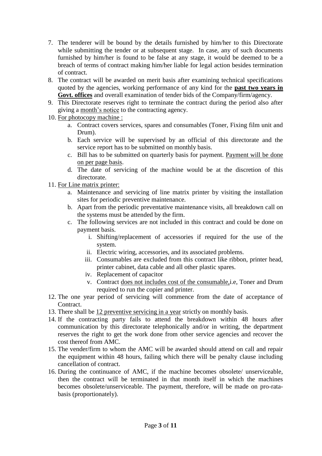- 7. The tenderer will be bound by the details furnished by him/her to this Directorate while submitting the tender or at subsequent stage. In case, any of such documents furnished by him/her is found to be false at any stage, it would be deemed to be a breach of terms of contract making him/her liable for legal action besides termination of contract.
- 8. The contract will be awarded on merit basis after examining technical specifications quoted by the agencies, working performance of any kind for the **past two years in Govt. offices** and overall examination of tender bids of the Company/firm/agency.
- 9. This Directorate reserves right to terminate the contract during the period also after giving a month's notice to the contracting agency.
- 10. For photocopy machine :
	- a. Contract covers services, spares and consumables (Toner, Fixing film unit and Drum).
	- b. Each service will be supervised by an official of this directorate and the service report has to be submitted on monthly basis.
	- c. Bill has to be submitted on quarterly basis for payment. Payment will be done on per page basis.
	- d. The date of servicing of the machine would be at the discretion of this directorate.
- 11. For Line matrix printer:
	- a. Maintenance and servicing of line matrix printer by visiting the installation sites for periodic preventive maintenance.
	- b. Apart from the periodic preventative maintenance visits, all breakdown call on the systems must be attended by the firm.
	- c. The following services are not included in this contract and could be done on payment basis.
		- i. Shifting/replacement of accessories if required for the use of the system.
		- ii. Electric wiring, accessories, and its associated problems.
		- iii. Consumables are excluded from this contract like ribbon, printer head, printer cabinet, data cable and all other plastic spares.
		- iv. Replacement of capacitor
		- v. Contract does not includes cost of the consumable,i.e, Toner and Drum required to run the copier and printer.
- 12. The one year period of servicing will commence from the date of acceptance of Contract.
- 13. There shall be 12 preventive servicing in a year strictly on monthly basis.
- 14. If the contracting party fails to attend the breakdown within 48 hours after communication by this directorate telephonically and/or in writing, the department reserves the right to get the work done from other service agencies and recover the cost thereof from AMC.
- 15. The vender/firm to whom the AMC will be awarded should attend on call and repair the equipment within 48 hours, failing which there will be penalty clause including cancellation of contract.
- 16. During the continuance of AMC, if the machine becomes obsolete/ unserviceable, then the contract will be terminated in that month itself in which the machines becomes obsolete/unserviceable. The payment, therefore, will be made on pro-ratabasis (proportionately).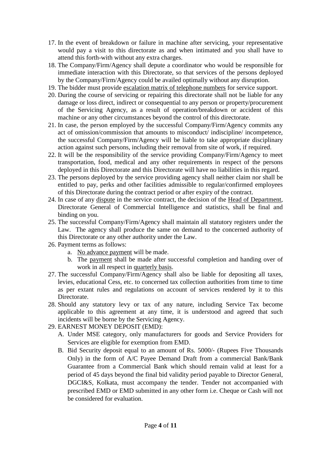- 17. In the event of breakdown or failure in machine after servicing, your representative would pay a visit to this directorate as and when intimated and you shall have to attend this forth-with without any extra charges.
- 18. The Company/Firm/Agency shall depute a coordinator who would be responsible for immediate interaction with this Directorate, so that services of the persons deployed by the Company/Firm/Agency could be availed optimally without any disruption.
- 19. The bidder must provide escalation matrix of telephone numbers for service support.
- 20. During the course of servicing or repairing this directorate shall not be liable for any damage or loss direct, indirect or consequential to any person or property/procurement of the Servicing Agency, as a result of operation/breakdown or accident of this machine or any other circumstances beyond the control of this directorate.
- 21. In case, the person employed by the successful Company/Firm/Agency commits any act of omission/commission that amounts to misconduct/ indiscipline/ incompetence, the successful Company/Firm/Agency will be liable to take appropriate disciplinary action against such persons, including their removal from site of work, if required.
- 22. It will be the responsibility of the service providing Company/Firm/Agency to meet transportation, food, medical and any other requirements in respect of the persons deployed in this Directorate and this Directorate will have no liabilities in this regard.
- 23. The persons deployed by the service providing agency shall neither claim nor shall be entitled to pay, perks and other facilities admissible to regular/confirmed employees of this Directorate during the contract period or after expiry of the contract.
- 24. In case of any dispute in the service contract, the decision of the Head of Department, Directorate General of Commercial Intelligence and statistics, shall be final and binding on you.
- 25. The successful Company/Firm/Agency shall maintain all statutory registers under the Law. The agency shall produce the same on demand to the concerned authority of this Directorate or any other authority under the Law.
- 26. Payment terms as follows:
	- a. No advance payment will be made.
	- b. The payment shall be made after successful completion and handing over of work in all respect in quarterly basis.
- 27. The successful Company/Firm/Agency shall also be liable for depositing all taxes, levies, educational Cess, etc. to concerned tax collection authorities from time to time as per extant rules and regulations on account of services rendered by it to this Directorate.
- 28. Should any statutory levy or tax of any nature, including Service Tax become applicable to this agreement at any time, it is understood and agreed that such incidents will be borne by the Servicing Agency.
- 29. EARNEST MONEY DEPOSIT (EMD):
	- A. Under MSE category, only manufacturers for goods and Service Providers for Services are eligible for exemption from EMD.
	- B. Bid Security deposit equal to an amount of Rs. 5000/- (Rupees Five Thousands Only) in the form of A/C Payee Demand Draft from a commercial Bank/Bank Guarantee from a Commercial Bank which should remain valid at least for a period of 45 days beyond the final bid validity period payable to Director General, DGCI&S, Kolkata, must accompany the tender. Tender not accompanied with prescribed EMD or EMD submitted in any other form i.e. Cheque or Cash will not be considered for evaluation.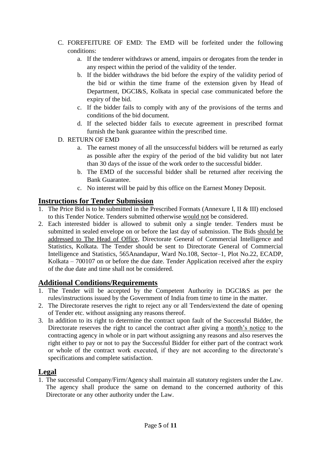- C. FOREFEITURE OF EMD: The EMD will be forfeited under the following conditions:
	- a. If the tenderer withdraws or amend, impairs or derogates from the tender in any respect within the period of the validity of the tender.
	- b. If the bidder withdraws the bid before the expiry of the validity period of the bid or within the time frame of the extension given by Head of Department, DGCI&S, Kolkata in special case communicated before the expiry of the bid.
	- c. If the bidder fails to comply with any of the provisions of the terms and conditions of the bid document.
	- d. If the selected bidder fails to execute agreement in prescribed format furnish the bank guarantee within the prescribed time.
- D. RETURN OF EMD
	- a. The earnest money of all the unsuccessful bidders will be returned as early as possible after the expiry of the period of the bid validity but not later than 30 days of the issue of the work order to the successful bidder.
	- b. The EMD of the successful bidder shall be returned after receiving the Bank Guarantee.
	- c. No interest will be paid by this office on the Earnest Money Deposit.

### **Instructions for Tender Submission**

- 1. The Price Bid is to be submitted in the Prescribed Formats (Annexure I, II & III) enclosed to this Tender Notice. Tenders submitted otherwise would not be considered.
- 2. Each interested bidder is allowed to submit only a single tender. Tenders must be submitted in sealed envelope on or before the last day of submission. The Bids should be addressed to The Head of Office, Directorate General of Commercial Intelligence and Statistics, Kolkata. The Tender should be sent to Directorate General of Commercial Intelligence and Statistics, 565Anandapur, Ward No.108, Sector–1, Plot No.22, ECADP, Kolkata – 700107 on or before the due date. Tender Application received after the expiry of the due date and time shall not be considered.

### **Additional Conditions/Requirements**

- 1. The Tender will be accepted by the Competent Authority in DGCI&S as per the rules/instructions issued by the Government of India from time to time in the matter.
- 2. The Directorate reserves the right to reject any or all Tenders/extend the date of opening of Tender etc. without assigning any reasons thereof.
- 3. In addition to its right to determine the contract upon fault of the Successful Bidder, the Directorate reserves the right to cancel the contract after giving a month's notice to the contracting agency in whole or in part without assigning any reasons and also reserves the right either to pay or not to pay the Successful Bidder for either part of the contract work or whole of the contract work executed, if they are not according to the directorate's specifications and complete satisfaction.

### **Legal**

1. The successful Company/Firm/Agency shall maintain all statutory registers under the Law. The agency shall produce the same on demand to the concerned authority of this Directorate or any other authority under the Law.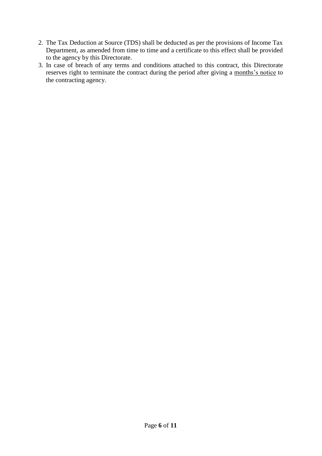- 2. The Tax Deduction at Source (TDS) shall be deducted as per the provisions of Income Tax Department, as amended from time to time and a certificate to this effect shall be provided to the agency by this Directorate.
- 3. In case of breach of any terms and conditions attached to this contract, this Directorate reserves right to terminate the contract during the period after giving a months's notice to the contracting agency.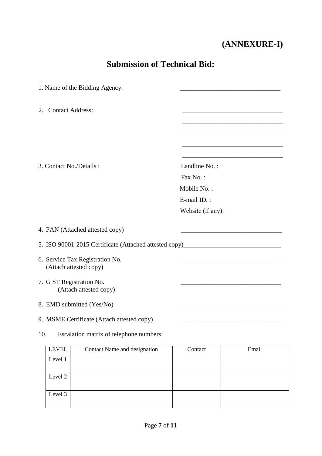# **(ANNEXURE-I)**

# **Submission of Technical Bid:**

| 1. Name of the Bidding Agency:                                                    |                   |       |
|-----------------------------------------------------------------------------------|-------------------|-------|
| <b>Contact Address:</b><br>2.                                                     |                   |       |
|                                                                                   |                   |       |
|                                                                                   |                   |       |
| 3. Contact No./Details:                                                           | Landline No.:     |       |
|                                                                                   | Fax No.:          |       |
|                                                                                   | Mobile No.:       |       |
|                                                                                   | E-mail ID.:       |       |
|                                                                                   | Website (if any): |       |
| 4. PAN (Attached attested copy)                                                   |                   |       |
| 5. ISO 90001-2015 Certificate (Attached attested copy)___________________________ |                   |       |
| 6. Service Tax Registration No.<br>(Attach attested copy)                         |                   |       |
| 7. G ST Registration No.<br>(Attach attested copy)                                |                   |       |
| 8. EMD submitted (Yes/No)                                                         |                   |       |
| 9. MSME Certificate (Attach attested copy)                                        |                   |       |
| 10.<br>Escalation matrix of telephone numbers:                                    |                   |       |
| <b>LEVEL</b><br>Contact Name and designation                                      | Contact           | Email |
| Level 1                                                                           |                   |       |

Level 2

Level 3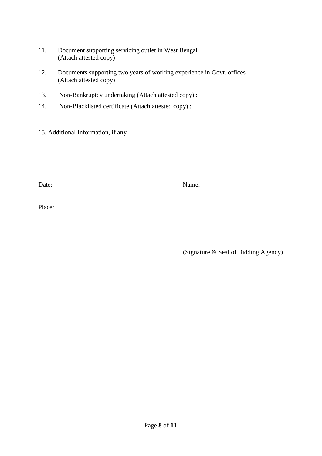- 11. Document supporting servicing outlet in West Bengal \_\_\_\_\_\_\_\_\_\_\_\_\_\_\_\_\_\_\_\_\_\_\_\_ (Attach attested copy)
- 12. Documents supporting two years of working experience in Govt. offices \_\_\_\_\_\_\_ (Attach attested copy)
- 13. Non-Bankruptcy undertaking (Attach attested copy) :
- 14. Non-Blacklisted certificate (Attach attested copy) :
- 15. Additional Information, if any

Date: Name:

Place:

(Signature & Seal of Bidding Agency)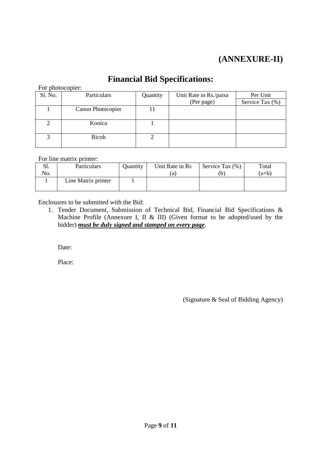## **(ANNEXURE-II)**

### **Financial Bid Specifications:**

For photocopier:

| Sl. No. | Particulars       | Quantity | Unit Rate in Rs./paisa | Per Unit        |
|---------|-------------------|----------|------------------------|-----------------|
|         |                   |          | (Per page)             | Service Tax (%) |
|         | Canon Photocopier |          |                        |                 |
|         |                   |          |                        |                 |
|         | Konica            |          |                        |                 |
|         |                   |          |                        |                 |
|         | Ricoh             |          |                        |                 |
|         |                   |          |                        |                 |

For line matrix printer:

| 51. | Particulars         | Quantity | Unit Rate in Rs | Service Tax (%) | Total   |
|-----|---------------------|----------|-----------------|-----------------|---------|
| No. |                     |          | (a)             |                 | $(a+b)$ |
|     | Line Matrix printer |          |                 |                 |         |
|     |                     |          |                 |                 |         |

Enclosures to be submitted with the Bid:

1. Tender Document, Submission of Technical Bid, Financial Bid Specifications & Machine Profile (Annexure I, II & III) (Given format to be adopted/used by the bidder) *must be duly signed and stamped on every page*.

Date:

Place:

(Signature & Seal of Bidding Agency)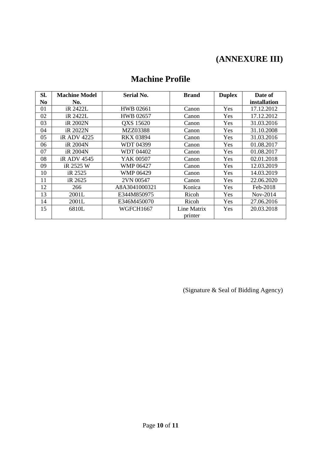# **(ANNEXURE III)**

| <b>Machine Profile</b> |  |
|------------------------|--|
|------------------------|--|

| Sl. | <b>Machine Model</b> | <b>Serial No.</b> | <b>Brand</b> | <b>Duplex</b> | Date of      |
|-----|----------------------|-------------------|--------------|---------------|--------------|
| No  | No.                  |                   |              |               | installation |
| 01  | iR 2422L             | <b>HWB 02661</b>  | Canon        | Yes           | 17.12.2012   |
| 02  | iR 2422L             | <b>HWB 02657</b>  | Canon        | Yes           | 17.12.2012   |
| 03  | iR 2002N             | QXS 15620         | Canon        | Yes           | 31.03.2016   |
| 04  | iR 2022N             | MZZ03388          | Canon        | Yes           | 31.10.2008   |
| 05  | <i>iRADV4225</i>     | <b>RKX 03894</b>  | Canon        | Yes           | 31.03.2016   |
| 06  | iR 2004N             | WDT 04399         | Canon        | Yes           | 01.08.2017   |
| 07  | iR 2004N             | <b>WDT 04402</b>  | Canon        | Yes           | 01.08.2017   |
| 08  | iR ADV 4545          | YAK 00507         | Canon        | Yes           | 02.01.2018   |
| 09  | iR 2525 W            | <b>WMP 06427</b>  | Canon        | Yes           | 12.03.2019   |
| 10  | iR 2525              | <b>WMP 06429</b>  | Canon        | Yes           | 14.03.2019   |
| 11  | iR 2625              | 2VN 00547         | Canon        | Yes           | 22.06.2020   |
| 12  | 266                  | A8A3041000321     | Konica       | Yes           | Feb-2018     |
| 13  | 2001L                | E344M850975       | Ricoh        | Yes           | $Nov-2014$   |
| 14  | 2001L                | E346M450070       | Ricoh        | Yes           | 27.06.2016   |
| 15  | 6810L                | WGFCH1667         | Line Matrix  | Yes           | 20.03.2018   |
|     |                      |                   | printer      |               |              |

(Signature & Seal of Bidding Agency)